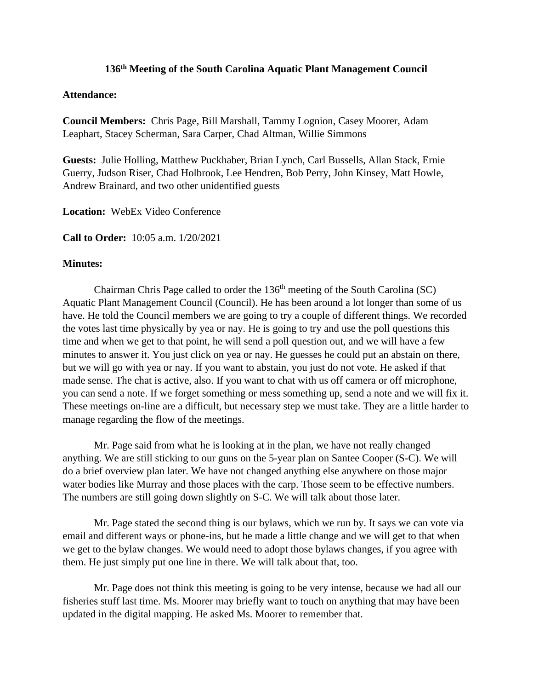## **136 th Meeting of the South Carolina Aquatic Plant Management Council**

## **Attendance:**

**Council Members:** Chris Page, Bill Marshall, Tammy Lognion, Casey Moorer, Adam Leaphart, Stacey Scherman, Sara Carper, Chad Altman, Willie Simmons

**Guests:** Julie Holling, Matthew Puckhaber, Brian Lynch, Carl Bussells, Allan Stack, Ernie Guerry, Judson Riser, Chad Holbrook, Lee Hendren, Bob Perry, John Kinsey, Matt Howle, Andrew Brainard, and two other unidentified guests

**Location:** WebEx Video Conference

**Call to Order:** 10:05 a.m. 1/20/2021

## **Minutes:**

Chairman Chris Page called to order the 136<sup>th</sup> meeting of the South Carolina (SC) Aquatic Plant Management Council (Council). He has been around a lot longer than some of us have. He told the Council members we are going to try a couple of different things. We recorded the votes last time physically by yea or nay. He is going to try and use the poll questions this time and when we get to that point, he will send a poll question out, and we will have a few minutes to answer it. You just click on yea or nay. He guesses he could put an abstain on there, but we will go with yea or nay. If you want to abstain, you just do not vote. He asked if that made sense. The chat is active, also. If you want to chat with us off camera or off microphone, you can send a note. If we forget something or mess something up, send a note and we will fix it. These meetings on-line are a difficult, but necessary step we must take. They are a little harder to manage regarding the flow of the meetings.

Mr. Page said from what he is looking at in the plan, we have not really changed anything. We are still sticking to our guns on the 5-year plan on Santee Cooper (S-C). We will do a brief overview plan later. We have not changed anything else anywhere on those major water bodies like Murray and those places with the carp. Those seem to be effective numbers. The numbers are still going down slightly on S-C. We will talk about those later.

Mr. Page stated the second thing is our bylaws, which we run by. It says we can vote via email and different ways or phone-ins, but he made a little change and we will get to that when we get to the bylaw changes. We would need to adopt those bylaws changes, if you agree with them. He just simply put one line in there. We will talk about that, too.

Mr. Page does not think this meeting is going to be very intense, because we had all our fisheries stuff last time. Ms. Moorer may briefly want to touch on anything that may have been updated in the digital mapping. He asked Ms. Moorer to remember that.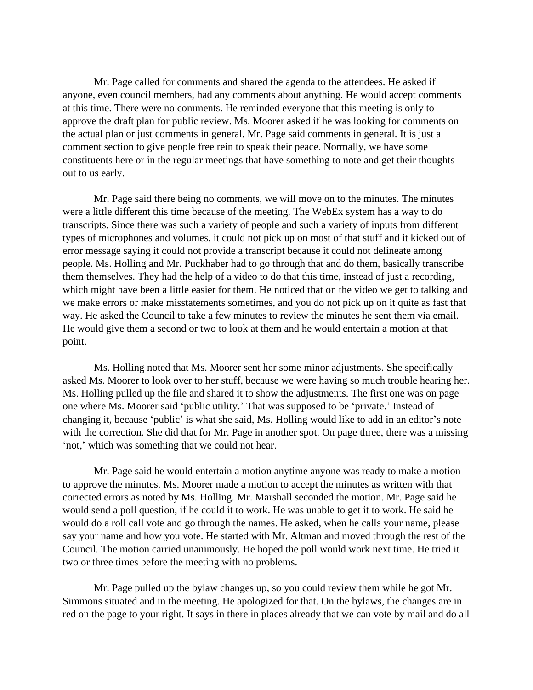Mr. Page called for comments and shared the agenda to the attendees. He asked if anyone, even council members, had any comments about anything. He would accept comments at this time. There were no comments. He reminded everyone that this meeting is only to approve the draft plan for public review. Ms. Moorer asked if he was looking for comments on the actual plan or just comments in general. Mr. Page said comments in general. It is just a comment section to give people free rein to speak their peace. Normally, we have some constituents here or in the regular meetings that have something to note and get their thoughts out to us early.

Mr. Page said there being no comments, we will move on to the minutes. The minutes were a little different this time because of the meeting. The WebEx system has a way to do transcripts. Since there was such a variety of people and such a variety of inputs from different types of microphones and volumes, it could not pick up on most of that stuff and it kicked out of error message saying it could not provide a transcript because it could not delineate among people. Ms. Holling and Mr. Puckhaber had to go through that and do them, basically transcribe them themselves. They had the help of a video to do that this time, instead of just a recording, which might have been a little easier for them. He noticed that on the video we get to talking and we make errors or make misstatements sometimes, and you do not pick up on it quite as fast that way. He asked the Council to take a few minutes to review the minutes he sent them via email. He would give them a second or two to look at them and he would entertain a motion at that point.

Ms. Holling noted that Ms. Moorer sent her some minor adjustments. She specifically asked Ms. Moorer to look over to her stuff, because we were having so much trouble hearing her. Ms. Holling pulled up the file and shared it to show the adjustments. The first one was on page one where Ms. Moorer said 'public utility.' That was supposed to be 'private.' Instead of changing it, because 'public' is what she said, Ms. Holling would like to add in an editor's note with the correction. She did that for Mr. Page in another spot. On page three, there was a missing 'not,' which was something that we could not hear.

Mr. Page said he would entertain a motion anytime anyone was ready to make a motion to approve the minutes. Ms. Moorer made a motion to accept the minutes as written with that corrected errors as noted by Ms. Holling. Mr. Marshall seconded the motion. Mr. Page said he would send a poll question, if he could it to work. He was unable to get it to work. He said he would do a roll call vote and go through the names. He asked, when he calls your name, please say your name and how you vote. He started with Mr. Altman and moved through the rest of the Council. The motion carried unanimously. He hoped the poll would work next time. He tried it two or three times before the meeting with no problems.

Mr. Page pulled up the bylaw changes up, so you could review them while he got Mr. Simmons situated and in the meeting. He apologized for that. On the bylaws, the changes are in red on the page to your right. It says in there in places already that we can vote by mail and do all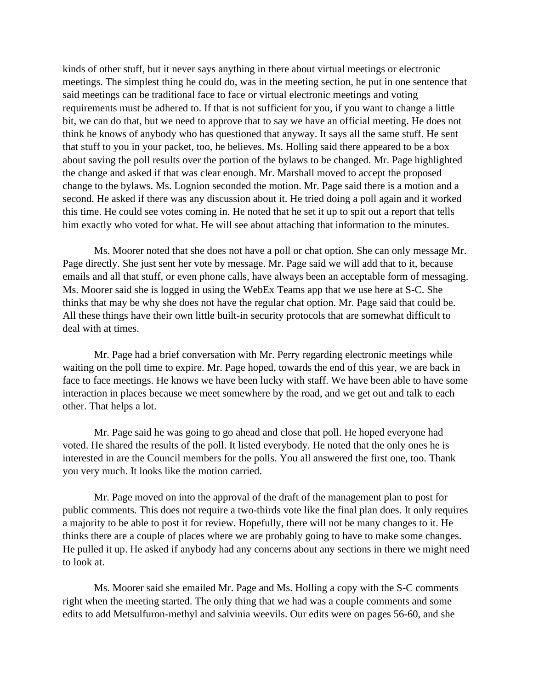kinds of other stuff, but it never says anything in there about virtual meetings or electronic meetings. The simplest thing he could do, was in the meeting section, he put in one sentence that said meetings can be traditional face to face or virtual electronic meetings and voting requirements must be adhered to. If that is not sufficient for you, if you want to change a little bit, we can do that, but we need to approve that to say we have an official meeting. He does not think he knows of anybody who has questioned that anyway. It says all the same stuff. He sent that stuff to you in your packet, too, he believes. Ms. Holling said there appeared to be a box about saving the poll results over the portion of the bylaws to be changed. Mr. Page highlighted the change and asked if that was clear enough. Mr. Marshall moved to accept the proposed change to the bylaws. Ms. Lognion seconded the motion. Mr. Page said there is a motion and a second. He asked if there was any discussion about it. He tried doing a poll again and it worked this time. He could see votes coming in. He noted that he set it up to spit out a report that tells him exactly who voted for what. He will see about attaching that information to the minutes.

Ms. Moorer noted that she does not have a poll or chat option. She can only message Mr. Page directly. She just sent her vote by message. Mr. Page said we will add that to it, because emails and all that stuff, or even phone calls, have always been an acceptable form of messaging. Ms. Moorer said she is logged in using the WebEx Teams app that we use here at S-C. She thinks that may be why she does not have the regular chat option. Mr. Page said that could be. All these things have their own little built-in security protocols that are somewhat difficult to deal with at times.

Mr. Page had a brief conversation with Mr. Perry regarding electronic meetings while waiting on the poll time to expire. Mr. Page hoped, towards the end of this year, we are back in face to face meetings. He knows we have been lucky with staff. We have been able to have some interaction in places because we meet somewhere by the road, and we get out and talk to each other. That helps a lot.

Mr. Page said he was going to go ahead and close that poll. He hoped everyone had voted. He shared the results of the poll. It listed everybody. He noted that the only ones he is interested in are the Council members for the polls. You all answered the first one, too. Thank you very much. It looks like the motion carried.

Mr. Page moved on into the approval of the draft of the management plan to post for public comments. This does not require a two-thirds vote like the final plan does. It only requires a majority to be able to post it for review. Hopefully, there will not be many changes to it. He thinks there are a couple of places where we are probably going to have to make some changes. He pulled it up. He asked if anybody had any concerns about any sections in there we might need to look at.

Ms. Moorer said she emailed Mr. Page and Ms. Holling a copy with the S-C comments right when the meeting started. The only thing that we had was a couple comments and some edits to add Metsulfuron-methyl and salvinia weevils. Our edits were on pages 56-60, and she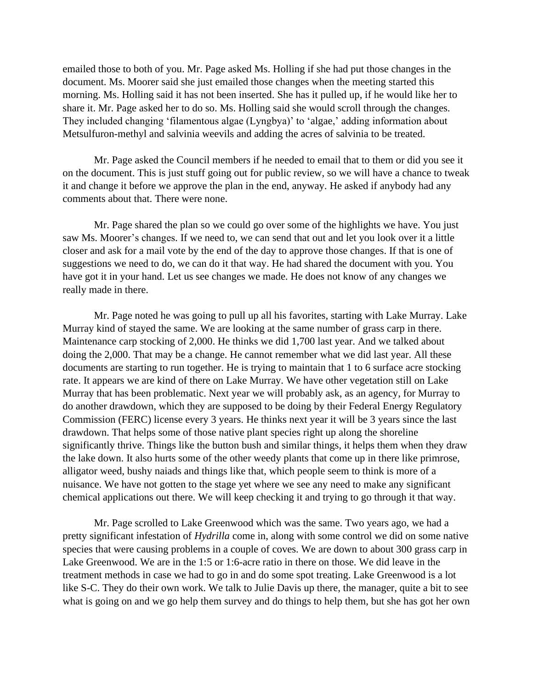emailed those to both of you. Mr. Page asked Ms. Holling if she had put those changes in the document. Ms. Moorer said she just emailed those changes when the meeting started this morning. Ms. Holling said it has not been inserted. She has it pulled up, if he would like her to share it. Mr. Page asked her to do so. Ms. Holling said she would scroll through the changes. They included changing 'filamentous algae (Lyngbya)' to 'algae,' adding information about Metsulfuron-methyl and salvinia weevils and adding the acres of salvinia to be treated.

Mr. Page asked the Council members if he needed to email that to them or did you see it on the document. This is just stuff going out for public review, so we will have a chance to tweak it and change it before we approve the plan in the end, anyway. He asked if anybody had any comments about that. There were none.

Mr. Page shared the plan so we could go over some of the highlights we have. You just saw Ms. Moorer's changes. If we need to, we can send that out and let you look over it a little closer and ask for a mail vote by the end of the day to approve those changes. If that is one of suggestions we need to do, we can do it that way. He had shared the document with you. You have got it in your hand. Let us see changes we made. He does not know of any changes we really made in there.

Mr. Page noted he was going to pull up all his favorites, starting with Lake Murray. Lake Murray kind of stayed the same. We are looking at the same number of grass carp in there. Maintenance carp stocking of 2,000. He thinks we did 1,700 last year. And we talked about doing the 2,000. That may be a change. He cannot remember what we did last year. All these documents are starting to run together. He is trying to maintain that 1 to 6 surface acre stocking rate. It appears we are kind of there on Lake Murray. We have other vegetation still on Lake Murray that has been problematic. Next year we will probably ask, as an agency, for Murray to do another drawdown, which they are supposed to be doing by their Federal Energy Regulatory Commission (FERC) license every 3 years. He thinks next year it will be 3 years since the last drawdown. That helps some of those native plant species right up along the shoreline significantly thrive. Things like the button bush and similar things, it helps them when they draw the lake down. It also hurts some of the other weedy plants that come up in there like primrose, alligator weed, bushy naiads and things like that, which people seem to think is more of a nuisance. We have not gotten to the stage yet where we see any need to make any significant chemical applications out there. We will keep checking it and trying to go through it that way.

Mr. Page scrolled to Lake Greenwood which was the same. Two years ago, we had a pretty significant infestation of *Hydrilla* come in, along with some control we did on some native species that were causing problems in a couple of coves. We are down to about 300 grass carp in Lake Greenwood. We are in the 1:5 or 1:6-acre ratio in there on those. We did leave in the treatment methods in case we had to go in and do some spot treating. Lake Greenwood is a lot like S-C. They do their own work. We talk to Julie Davis up there, the manager, quite a bit to see what is going on and we go help them survey and do things to help them, but she has got her own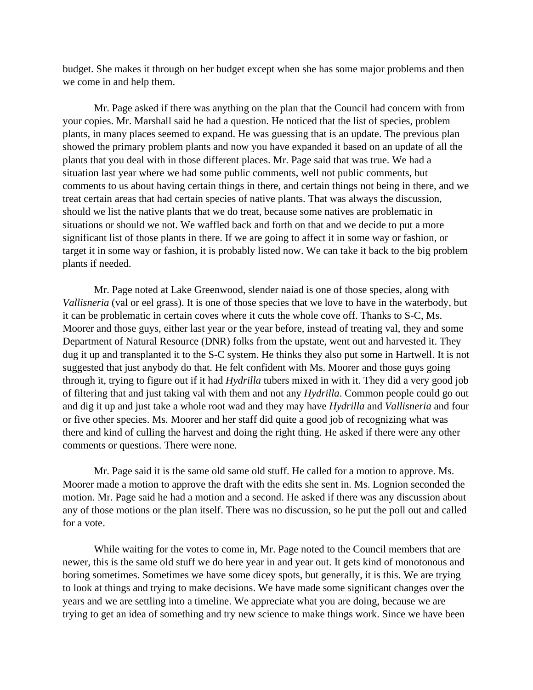budget. She makes it through on her budget except when she has some major problems and then we come in and help them.

Mr. Page asked if there was anything on the plan that the Council had concern with from your copies. Mr. Marshall said he had a question. He noticed that the list of species, problem plants, in many places seemed to expand. He was guessing that is an update. The previous plan showed the primary problem plants and now you have expanded it based on an update of all the plants that you deal with in those different places. Mr. Page said that was true. We had a situation last year where we had some public comments, well not public comments, but comments to us about having certain things in there, and certain things not being in there, and we treat certain areas that had certain species of native plants. That was always the discussion, should we list the native plants that we do treat, because some natives are problematic in situations or should we not. We waffled back and forth on that and we decide to put a more significant list of those plants in there. If we are going to affect it in some way or fashion, or target it in some way or fashion, it is probably listed now. We can take it back to the big problem plants if needed.

Mr. Page noted at Lake Greenwood, slender naiad is one of those species, along with *Vallisneria* (val or eel grass). It is one of those species that we love to have in the waterbody, but it can be problematic in certain coves where it cuts the whole cove off. Thanks to S-C, Ms. Moorer and those guys, either last year or the year before, instead of treating val, they and some Department of Natural Resource (DNR) folks from the upstate, went out and harvested it. They dug it up and transplanted it to the S-C system. He thinks they also put some in Hartwell. It is not suggested that just anybody do that. He felt confident with Ms. Moorer and those guys going through it, trying to figure out if it had *Hydrilla* tubers mixed in with it. They did a very good job of filtering that and just taking val with them and not any *Hydrilla*. Common people could go out and dig it up and just take a whole root wad and they may have *Hydrilla* and *Vallisneria* and four or five other species. Ms. Moorer and her staff did quite a good job of recognizing what was there and kind of culling the harvest and doing the right thing. He asked if there were any other comments or questions. There were none.

Mr. Page said it is the same old same old stuff. He called for a motion to approve. Ms. Moorer made a motion to approve the draft with the edits she sent in. Ms. Lognion seconded the motion. Mr. Page said he had a motion and a second. He asked if there was any discussion about any of those motions or the plan itself. There was no discussion, so he put the poll out and called for a vote.

While waiting for the votes to come in, Mr. Page noted to the Council members that are newer, this is the same old stuff we do here year in and year out. It gets kind of monotonous and boring sometimes. Sometimes we have some dicey spots, but generally, it is this. We are trying to look at things and trying to make decisions. We have made some significant changes over the years and we are settling into a timeline. We appreciate what you are doing, because we are trying to get an idea of something and try new science to make things work. Since we have been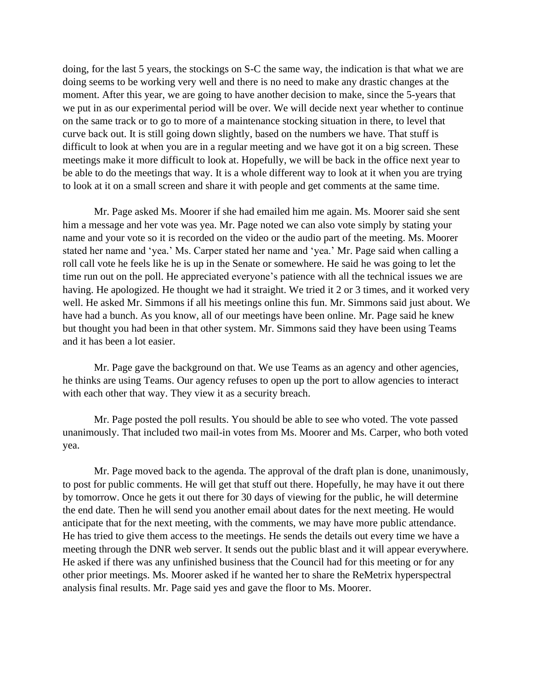doing, for the last 5 years, the stockings on S-C the same way, the indication is that what we are doing seems to be working very well and there is no need to make any drastic changes at the moment. After this year, we are going to have another decision to make, since the 5-years that we put in as our experimental period will be over. We will decide next year whether to continue on the same track or to go to more of a maintenance stocking situation in there, to level that curve back out. It is still going down slightly, based on the numbers we have. That stuff is difficult to look at when you are in a regular meeting and we have got it on a big screen. These meetings make it more difficult to look at. Hopefully, we will be back in the office next year to be able to do the meetings that way. It is a whole different way to look at it when you are trying to look at it on a small screen and share it with people and get comments at the same time.

Mr. Page asked Ms. Moorer if she had emailed him me again. Ms. Moorer said she sent him a message and her vote was yea. Mr. Page noted we can also vote simply by stating your name and your vote so it is recorded on the video or the audio part of the meeting. Ms. Moorer stated her name and 'yea.' Ms. Carper stated her name and 'yea.' Mr. Page said when calling a roll call vote he feels like he is up in the Senate or somewhere. He said he was going to let the time run out on the poll. He appreciated everyone's patience with all the technical issues we are having. He apologized. He thought we had it straight. We tried it 2 or 3 times, and it worked very well. He asked Mr. Simmons if all his meetings online this fun. Mr. Simmons said just about. We have had a bunch. As you know, all of our meetings have been online. Mr. Page said he knew but thought you had been in that other system. Mr. Simmons said they have been using Teams and it has been a lot easier.

Mr. Page gave the background on that. We use Teams as an agency and other agencies, he thinks are using Teams. Our agency refuses to open up the port to allow agencies to interact with each other that way. They view it as a security breach.

Mr. Page posted the poll results. You should be able to see who voted. The vote passed unanimously. That included two mail-in votes from Ms. Moorer and Ms. Carper, who both voted yea.

Mr. Page moved back to the agenda. The approval of the draft plan is done, unanimously, to post for public comments. He will get that stuff out there. Hopefully, he may have it out there by tomorrow. Once he gets it out there for 30 days of viewing for the public, he will determine the end date. Then he will send you another email about dates for the next meeting. He would anticipate that for the next meeting, with the comments, we may have more public attendance. He has tried to give them access to the meetings. He sends the details out every time we have a meeting through the DNR web server. It sends out the public blast and it will appear everywhere. He asked if there was any unfinished business that the Council had for this meeting or for any other prior meetings. Ms. Moorer asked if he wanted her to share the ReMetrix hyperspectral analysis final results. Mr. Page said yes and gave the floor to Ms. Moorer.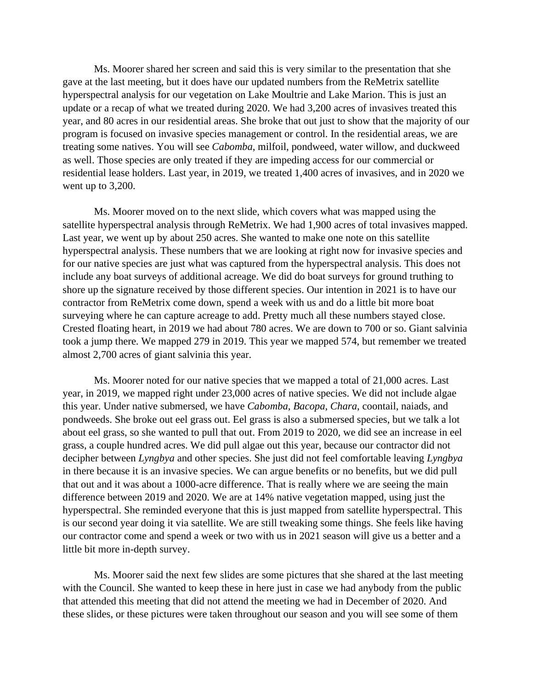Ms. Moorer shared her screen and said this is very similar to the presentation that she gave at the last meeting, but it does have our updated numbers from the ReMetrix satellite hyperspectral analysis for our vegetation on Lake Moultrie and Lake Marion. This is just an update or a recap of what we treated during 2020. We had 3,200 acres of invasives treated this year, and 80 acres in our residential areas. She broke that out just to show that the majority of our program is focused on invasive species management or control. In the residential areas, we are treating some natives. You will see *Cabomba*, milfoil, pondweed, water willow, and duckweed as well. Those species are only treated if they are impeding access for our commercial or residential lease holders. Last year, in 2019, we treated 1,400 acres of invasives, and in 2020 we went up to 3,200.

Ms. Moorer moved on to the next slide, which covers what was mapped using the satellite hyperspectral analysis through ReMetrix. We had 1,900 acres of total invasives mapped. Last year, we went up by about 250 acres. She wanted to make one note on this satellite hyperspectral analysis. These numbers that we are looking at right now for invasive species and for our native species are just what was captured from the hyperspectral analysis. This does not include any boat surveys of additional acreage. We did do boat surveys for ground truthing to shore up the signature received by those different species. Our intention in 2021 is to have our contractor from ReMetrix come down, spend a week with us and do a little bit more boat surveying where he can capture acreage to add. Pretty much all these numbers stayed close. Crested floating heart, in 2019 we had about 780 acres. We are down to 700 or so. Giant salvinia took a jump there. We mapped 279 in 2019. This year we mapped 574, but remember we treated almost 2,700 acres of giant salvinia this year.

Ms. Moorer noted for our native species that we mapped a total of 21,000 acres. Last year, in 2019, we mapped right under 23,000 acres of native species. We did not include algae this year. Under native submersed, we have *Cabomba*, *Bacopa*, *Chara*, coontail, naiads, and pondweeds. She broke out eel grass out. Eel grass is also a submersed species, but we talk a lot about eel grass, so she wanted to pull that out. From 2019 to 2020, we did see an increase in eel grass, a couple hundred acres. We did pull algae out this year, because our contractor did not decipher between *Lyngbya* and other species. She just did not feel comfortable leaving *Lyngbya* in there because it is an invasive species. We can argue benefits or no benefits, but we did pull that out and it was about a 1000-acre difference. That is really where we are seeing the main difference between 2019 and 2020. We are at 14% native vegetation mapped, using just the hyperspectral. She reminded everyone that this is just mapped from satellite hyperspectral. This is our second year doing it via satellite. We are still tweaking some things. She feels like having our contractor come and spend a week or two with us in 2021 season will give us a better and a little bit more in-depth survey.

Ms. Moorer said the next few slides are some pictures that she shared at the last meeting with the Council. She wanted to keep these in here just in case we had anybody from the public that attended this meeting that did not attend the meeting we had in December of 2020. And these slides, or these pictures were taken throughout our season and you will see some of them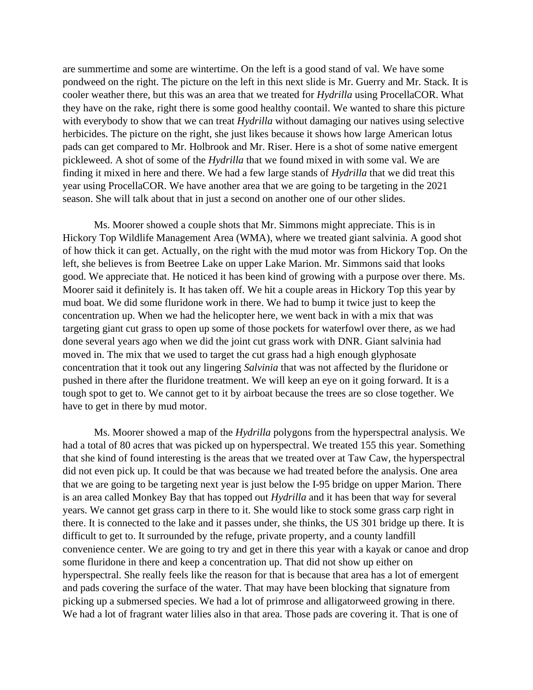are summertime and some are wintertime. On the left is a good stand of val. We have some pondweed on the right. The picture on the left in this next slide is Mr. Guerry and Mr. Stack. It is cooler weather there, but this was an area that we treated for *Hydrilla* using ProcellaCOR. What they have on the rake, right there is some good healthy coontail. We wanted to share this picture with everybody to show that we can treat *Hydrilla* without damaging our natives using selective herbicides. The picture on the right, she just likes because it shows how large American lotus pads can get compared to Mr. Holbrook and Mr. Riser. Here is a shot of some native emergent pickleweed. A shot of some of the *Hydrilla* that we found mixed in with some val. We are finding it mixed in here and there. We had a few large stands of *Hydrilla* that we did treat this year using ProcellaCOR. We have another area that we are going to be targeting in the 2021 season. She will talk about that in just a second on another one of our other slides.

Ms. Moorer showed a couple shots that Mr. Simmons might appreciate. This is in Hickory Top Wildlife Management Area (WMA), where we treated giant salvinia. A good shot of how thick it can get. Actually, on the right with the mud motor was from Hickory Top. On the left, she believes is from Beetree Lake on upper Lake Marion. Mr. Simmons said that looks good. We appreciate that. He noticed it has been kind of growing with a purpose over there. Ms. Moorer said it definitely is. It has taken off. We hit a couple areas in Hickory Top this year by mud boat. We did some fluridone work in there. We had to bump it twice just to keep the concentration up. When we had the helicopter here, we went back in with a mix that was targeting giant cut grass to open up some of those pockets for waterfowl over there, as we had done several years ago when we did the joint cut grass work with DNR. Giant salvinia had moved in. The mix that we used to target the cut grass had a high enough glyphosate concentration that it took out any lingering *Salvinia* that was not affected by the fluridone or pushed in there after the fluridone treatment. We will keep an eye on it going forward. It is a tough spot to get to. We cannot get to it by airboat because the trees are so close together. We have to get in there by mud motor.

Ms. Moorer showed a map of the *Hydrilla* polygons from the hyperspectral analysis. We had a total of 80 acres that was picked up on hyperspectral. We treated 155 this year. Something that she kind of found interesting is the areas that we treated over at Taw Caw, the hyperspectral did not even pick up. It could be that was because we had treated before the analysis. One area that we are going to be targeting next year is just below the I-95 bridge on upper Marion. There is an area called Monkey Bay that has topped out *Hydrilla* and it has been that way for several years. We cannot get grass carp in there to it. She would like to stock some grass carp right in there. It is connected to the lake and it passes under, she thinks, the US 301 bridge up there. It is difficult to get to. It surrounded by the refuge, private property, and a county landfill convenience center. We are going to try and get in there this year with a kayak or canoe and drop some fluridone in there and keep a concentration up. That did not show up either on hyperspectral. She really feels like the reason for that is because that area has a lot of emergent and pads covering the surface of the water. That may have been blocking that signature from picking up a submersed species. We had a lot of primrose and alligatorweed growing in there. We had a lot of fragrant water lilies also in that area. Those pads are covering it. That is one of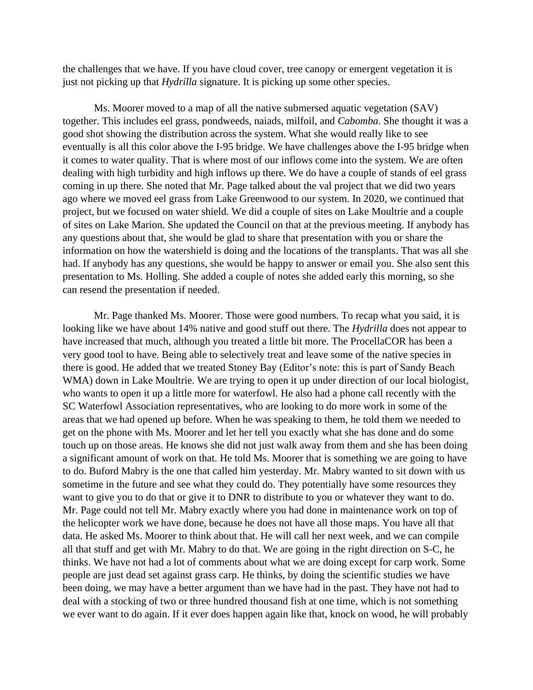the challenges that we have. If you have cloud cover, tree canopy or emergent vegetation it is just not picking up that *Hydrilla* signature. It is picking up some other species.

Ms. Moorer moved to a map of all the native submersed aquatic vegetation (SAV) together. This includes eel grass, pondweeds, naiads, milfoil, and *Cabomba.* She thought it was a good shot showing the distribution across the system. What she would really like to see eventually is all this color above the I-95 bridge. We have challenges above the I-95 bridge when it comes to water quality. That is where most of our inflows come into the system. We are often dealing with high turbidity and high inflows up there. We do have a couple of stands of eel grass coming in up there. She noted that Mr. Page talked about the val project that we did two years ago where we moved eel grass from Lake Greenwood to our system. In 2020, we continued that project, but we focused on water shield. We did a couple of sites on Lake Moultrie and a couple of sites on Lake Marion. She updated the Council on that at the previous meeting. If anybody has any questions about that, she would be glad to share that presentation with you or share the information on how the watershield is doing and the locations of the transplants. That was all she had. If anybody has any questions, she would be happy to answer or email you. She also sent this presentation to Ms. Holling. She added a couple of notes she added early this morning, so she can resend the presentation if needed.

Mr. Page thanked Ms. Moorer. Those were good numbers. To recap what you said, it is looking like we have about 14% native and good stuff out there. The *Hydrilla* does not appear to have increased that much, although you treated a little bit more. The ProcellaCOR has been a very good tool to have. Being able to selectively treat and leave some of the native species in there is good. He added that we treated Stoney Bay (Editor's note: this is part of Sandy Beach WMA) down in Lake Moultrie. We are trying to open it up under direction of our local biologist, who wants to open it up a little more for waterfowl. He also had a phone call recently with the SC Waterfowl Association representatives, who are looking to do more work in some of the areas that we had opened up before. When he was speaking to them, he told them we needed to get on the phone with Ms. Moorer and let her tell you exactly what she has done and do some touch up on those areas. He knows she did not just walk away from them and she has been doing a significant amount of work on that. He told Ms. Moorer that is something we are going to have to do. Buford Mabry is the one that called him yesterday. Mr. Mabry wanted to sit down with us sometime in the future and see what they could do. They potentially have some resources they want to give you to do that or give it to DNR to distribute to you or whatever they want to do. Mr. Page could not tell Mr. Mabry exactly where you had done in maintenance work on top of the helicopter work we have done, because he does not have all those maps. You have all that data. He asked Ms. Moorer to think about that. He will call her next week, and we can compile all that stuff and get with Mr. Mabry to do that. We are going in the right direction on S-C, he thinks. We have not had a lot of comments about what we are doing except for carp work. Some people are just dead set against grass carp. He thinks, by doing the scientific studies we have been doing, we may have a better argument than we have had in the past. They have not had to deal with a stocking of two or three hundred thousand fish at one time, which is not something we ever want to do again. If it ever does happen again like that, knock on wood, he will probably